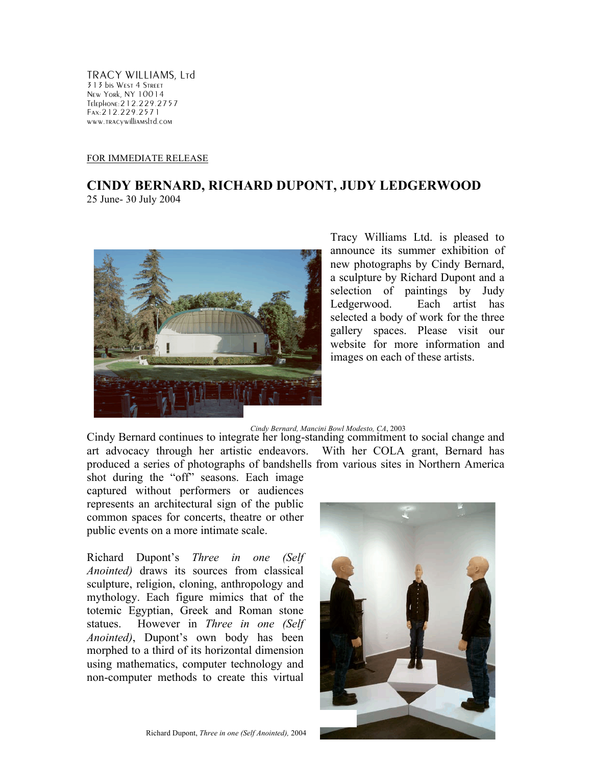TRACY WILLIAMS, Ltd 313 bis West 4 Street New York, NY 10014 Telephone:212.229.2757 Fax:212.229.2571 www.tracywilliamsltd.com

## FOR IMMEDIATE RELEASE

## **CINDY BERNARD, RICHARD DUPONT, JUDY LEDGERWOOD**

25 June- 30 July 2004



Tracy Williams Ltd. is pleased to announce its summer exhibition of new photographs by Cindy Bernard, a sculpture by Richard Dupont and a selection of paintings by Judy Ledgerwood. Each artist has selected a body of work for the three gallery spaces. Please visit our website for more information and images on each of these artists.

## *Cindy Bernard, Mancini Bowl Modesto, CA*, 2003

Cindy Bernard continues to integrate her long-standing commitment to social change and art advocacy through her artistic endeavors. With her COLA grant, Bernard has produced a series of photographs of bandshells from various sites in Northern America

shot during the "off" seasons. Each image captured without performers or audiences represents an architectural sign of the public common spaces for concerts, theatre or other public events on a more intimate scale.

Richard Dupont's *Three in one (Self Anointed)* draws its sources from classical sculpture, religion, cloning, anthropology and mythology. Each figure mimics that of the totemic Egyptian, Greek and Roman stone statues. However in *Three in one (Self Anointed)*, Dupont's own body has been morphed to a third of its horizontal dimension using mathematics, computer technology and non-computer methods to create this virtual